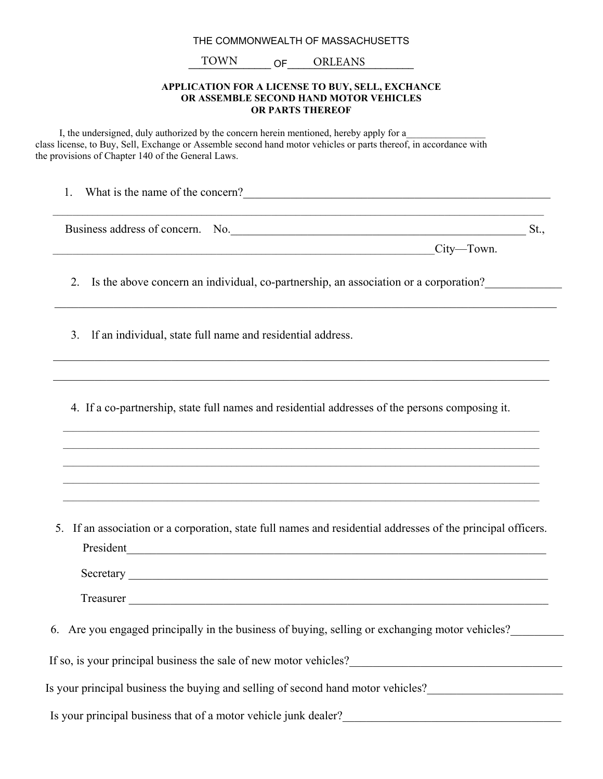## THE COMMONWEALTH OF MASSACHUSETTS

## TOWN OF ORLEANS

## **APPLICATION FOR A LICENSE TO BUY, SELL, EXCHANCE OR ASSEMBLE SECOND HAND MOTOR VEHICLES OR PARTS THEREOF**

I, the undersigned, duly authorized by the concern herein mentioned, hereby apply for a class license, to Buy, Sell, Exchange or Assemble second hand motor vehicles or parts thereof, in accordance with the provisions of Chapter 140 of the General Laws.

1. What is the name of the concern?

Business address of concern. No.\_\_\_\_\_\_\_\_\_\_\_\_\_\_\_\_\_\_\_\_\_\_\_\_\_\_\_\_\_\_\_\_\_\_\_\_\_\_\_\_\_\_\_\_\_\_\_\_\_\_ St.,

 $\mathcal{L}_\text{max} = \frac{1}{2} \sum_{i=1}^n \mathcal{L}_\text{max}(\mathbf{x}_i - \mathbf{y}_i)$ 

 $\mathcal{L}_\mathcal{L} = \{ \mathcal{L}_\mathcal{L} = \{ \mathcal{L}_\mathcal{L} = \{ \mathcal{L}_\mathcal{L} = \{ \mathcal{L}_\mathcal{L} = \{ \mathcal{L}_\mathcal{L} = \{ \mathcal{L}_\mathcal{L} = \{ \mathcal{L}_\mathcal{L} = \{ \mathcal{L}_\mathcal{L} = \{ \mathcal{L}_\mathcal{L} = \{ \mathcal{L}_\mathcal{L} = \{ \mathcal{L}_\mathcal{L} = \{ \mathcal{L}_\mathcal{L} = \{ \mathcal{L}_\mathcal{L} = \{ \mathcal{L}_\mathcal{$  $\mathcal{L}_\mathcal{L} = \{ \mathcal{L}_\mathcal{L} = \{ \mathcal{L}_\mathcal{L} = \{ \mathcal{L}_\mathcal{L} = \{ \mathcal{L}_\mathcal{L} = \{ \mathcal{L}_\mathcal{L} = \{ \mathcal{L}_\mathcal{L} = \{ \mathcal{L}_\mathcal{L} = \{ \mathcal{L}_\mathcal{L} = \{ \mathcal{L}_\mathcal{L} = \{ \mathcal{L}_\mathcal{L} = \{ \mathcal{L}_\mathcal{L} = \{ \mathcal{L}_\mathcal{L} = \{ \mathcal{L}_\mathcal{L} = \{ \mathcal{L}_\mathcal{$ 

 $\mathcal{L}_\text{max}$  $\_$  , and the state of the state of the state of the state of the state of the state of the state of the state of the state of the state of the state of the state of the state of the state of the state of the state of the

 $\_$  , and the state of the state of the state of the state of the state of the state of the state of the state of the state of the state of the state of the state of the state of the state of the state of the state of the

 $City$ —Town.

2. Is the above concern an individual, co-partnership, an association or a corporation?

3. lf an individual, state full name and residential address.

4. If a co-partnership, state full names and residential addresses of the persons composing it.

5. If an association or a corporation, state full names and residential addresses of the principal officers. President

Secretary \_\_\_\_\_\_\_\_\_\_\_\_\_\_\_\_\_\_\_\_\_\_\_\_\_\_\_\_\_\_\_\_\_\_\_\_\_\_\_\_\_\_\_\_\_\_\_\_\_\_\_\_\_\_\_\_\_\_\_\_\_\_\_\_\_\_\_\_\_\_\_

Treasurer \_\_\_\_\_\_\_\_\_\_\_\_\_\_\_\_\_\_\_\_\_\_\_\_\_\_\_\_\_\_\_\_\_\_\_\_\_\_\_\_\_\_\_\_\_\_\_\_\_\_\_\_\_\_\_\_\_\_\_\_\_\_\_\_\_\_\_\_\_\_\_

6. Are you engaged principally in the business of buying, selling or exchanging motor vehicles?

If so, is your principal business the sale of new motor vehicles?

Is your principal business the buying and selling of second hand motor vehicles?

Is your principal business that of a motor vehicle junk dealer?\_\_\_\_\_\_\_\_\_\_\_\_\_\_\_\_\_\_\_\_\_\_\_\_\_\_\_\_\_\_\_\_\_\_\_\_\_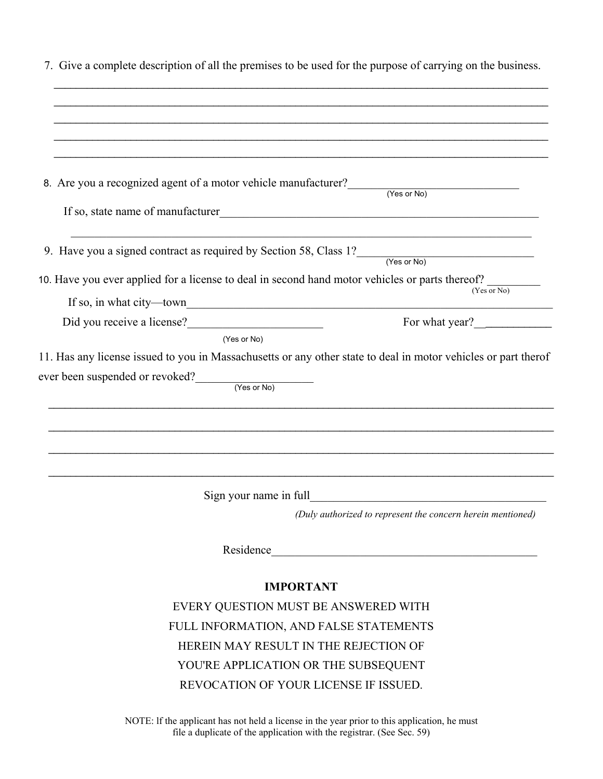| 7. Give a complete description of all the premises to be used for the purpose of carrying on the business.     |                                                             |
|----------------------------------------------------------------------------------------------------------------|-------------------------------------------------------------|
|                                                                                                                |                                                             |
|                                                                                                                |                                                             |
|                                                                                                                |                                                             |
| 8. Are you a recognized agent of a motor vehicle manufacturer? (Yes or No)                                     |                                                             |
| If so, state name of manufacturer                                                                              |                                                             |
| 9. Have you a signed contract as required by Section 58, Class $1?$ (Yes or No)                                |                                                             |
|                                                                                                                |                                                             |
| 10. Have you ever applied for a license to deal in second hand motor vehicles or parts thereof?<br>(Yes or No) |                                                             |
|                                                                                                                |                                                             |
| Did you receive a license?<br><u>License</u>                                                                   | For what year?                                              |
|                                                                                                                |                                                             |
| (Yes or No)                                                                                                    |                                                             |
| 11. Has any license issued to you in Massachusetts or any other state to deal in motor vehicles or part therof |                                                             |
|                                                                                                                |                                                             |
| $ever been suspended or revoked?$ (Yes or No)                                                                  |                                                             |
|                                                                                                                |                                                             |
|                                                                                                                |                                                             |
|                                                                                                                |                                                             |
|                                                                                                                |                                                             |
| Sign your name in full                                                                                         |                                                             |
|                                                                                                                | (Duly authorized to represent the concern herein mentioned) |
|                                                                                                                | Residence                                                   |
|                                                                                                                | <b>IMPORTANT</b>                                            |
|                                                                                                                | EVERY QUESTION MUST BE ANSWERED WITH                        |
|                                                                                                                | FULL INFORMATION, AND FALSE STATEMENTS                      |
|                                                                                                                | HEREIN MAY RESULT IN THE REJECTION OF                       |
|                                                                                                                | YOU'RE APPLICATION OR THE SUBSEQUENT                        |

NOTE: lf the applicant has not held a license in the year prior to this application, he must file a duplicate of the application with the registrar. (See Sec. 59)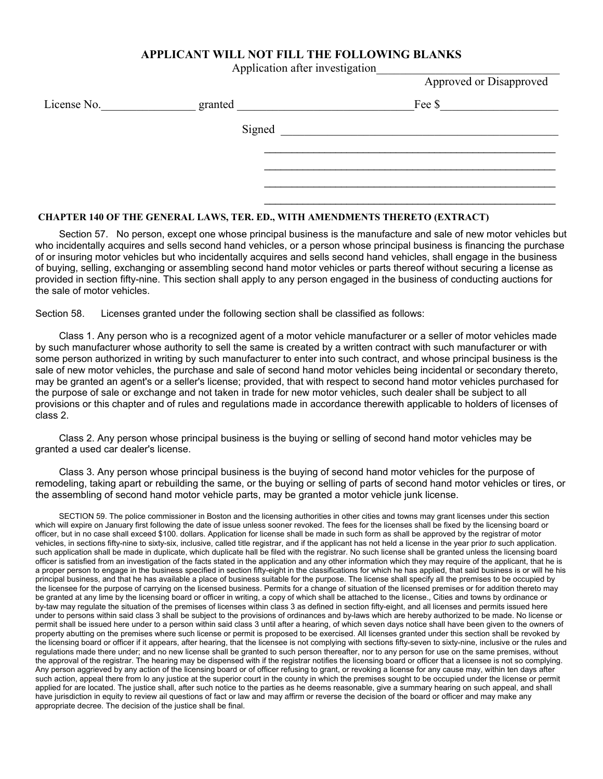## **APPLICANT WILL NOT FILL THE FOLLOWING BLANKS**

Application after investigation\_\_\_\_\_\_\_\_\_\_\_\_\_\_\_\_\_\_\_\_\_\_\_\_\_\_\_\_\_\_\_

Approved or Disapproved

| License No. | granted | Fee \$ |
|-------------|---------|--------|
|             | Signed  |        |
|             |         |        |
|             |         |        |
|             |         |        |

### **CHAPTER 140 OF THE GENERAL LAWS, TER. ED., WITH AMENDMENTS THERETO (EXTRACT)**

Section 57. No person, except one whose principal business is the manufacture and sale of new motor vehicles but who incidentally acquires and sells second hand vehicles, or a person whose principal business is financing the purchase of or insuring motor vehicles but who incidentally acquires and sells second hand vehicles, shall engage in the business of buying, selling, exchanging or assembling second hand motor vehicles or parts thereof without securing a license as provided in section fifty-nine. This section shall apply to any person engaged in the business of conducting auctions for the sale of motor vehicles.

 $\frac{1}{2}$  , and the contribution of the contribution of the contribution of the contribution of the contribution of the contribution of the contribution of the contribution of the contribution of the contribution of the c

Section 58. Licenses granted under the following section shall be classified as follows:

Class 1. Any person who is a recognized agent of a motor vehicle manufacturer or a seller of motor vehicles made by such manufacturer whose authority to sell the same is created by a written contract with such manufacturer or with some person authorized in writing by such manufacturer to enter into such contract, and whose principal business is the sale of new motor vehicles, the purchase and sale of second hand motor vehicles being incidental or secondary thereto, may be granted an agent's or a seller's license; provided, that with respect to second hand motor vehicles purchased for the purpose of sale or exchange and not taken in trade for new motor vehicles, such dealer shall be subject to all provisions or this chapter and of rules and regulations made in accordance therewith applicable to holders of licenses of class 2.

Class 2. Any person whose principal business is the buying or selling of second hand motor vehicles may be granted a used car dealer's license.

Class 3. Any person whose principal business is the buying of second hand motor vehicles for the purpose of remodeling, taking apart or rebuilding the same, or the buying or selling of parts of second hand motor vehicles or tires, or the assembling of second hand motor vehicle parts, may be granted a motor vehicle junk license.

SECTION 59. The police commissioner in Boston and the licensing authorities in other cities and towns may grant licenses under this section which will expire on January first following the date of issue unless sooner revoked. The fees for the licenses shall be fixed by the licensing board or officer, but in no case shall exceed \$100. dollars. Application for license shall be made in such form as shall be approved by the registrar of motor vehicles, in sections fifty-nine to sixty-six, inclusive, called title registrar, and if the applicant has not held a license in the year prior *to* such application. such application shall be made in duplicate, which duplicate hall be filed with the registrar. No such license shall be granted unless the licensing board officer is satisfied from an investigation of the facts stated in the application and any other information which they may require of the applicant, that he is a proper person to engage in the business specified in section fifty-eight in the classifications for which he has applied, that said business is or will he his principal business, and that he has available a place of business suitable for the purpose. The license shall specify all the premises to be occupied by the licensee for the purpose of carrying on the licensed business. Permits for a change of situation of the licensed premises or for addition thereto may be granted at any lime by the licensing board or officer in writing, a copy of which shall be attached to the license., Cities and towns by ordinance or by-taw may regulate the situation of the premises of licenses within class 3 as defined in section fifty-eight, and all licenses and permits issued here under to persons within said class 3 shall be subject to the provisions of ordinances and by-laws which are hereby authorized to be made. No license or permit shall be issued here under to a person within said class 3 until after a hearing, of which seven days notice shall have been given to the owners of property abutting on the premises where such license or permit is proposed to be exercised. All licenses granted under this section shall be revoked by the licensing board or officer if it appears, after hearing, that the licensee is not complying with sections fifty-seven to sixty-nine, inclusive or the rules and regulations made there under; and no new license shall be granted to such person thereafter, nor to any person for use on the same premises, without the approval of the registrar. The hearing may be dispensed with if the registrar notifies the licensing board or officer that a licensee is not so complying. Any person aggrieved by any action of the licensing board or of officer refusing to grant, or revoking a license for any cause may, within ten days after such action, appeal there from lo any justice at the superior court in the county in which the premises sought to be occupied under the license or permit applied for are located. The justice shall, after such notice to the parties as he deems reasonable, give a summary hearing on such appeal, and shall have jurisdiction in equity to review ail questions of fact or law and may affirm or reverse the decision of the board or officer and may make any appropriate decree. The decision of the justice shall be final.